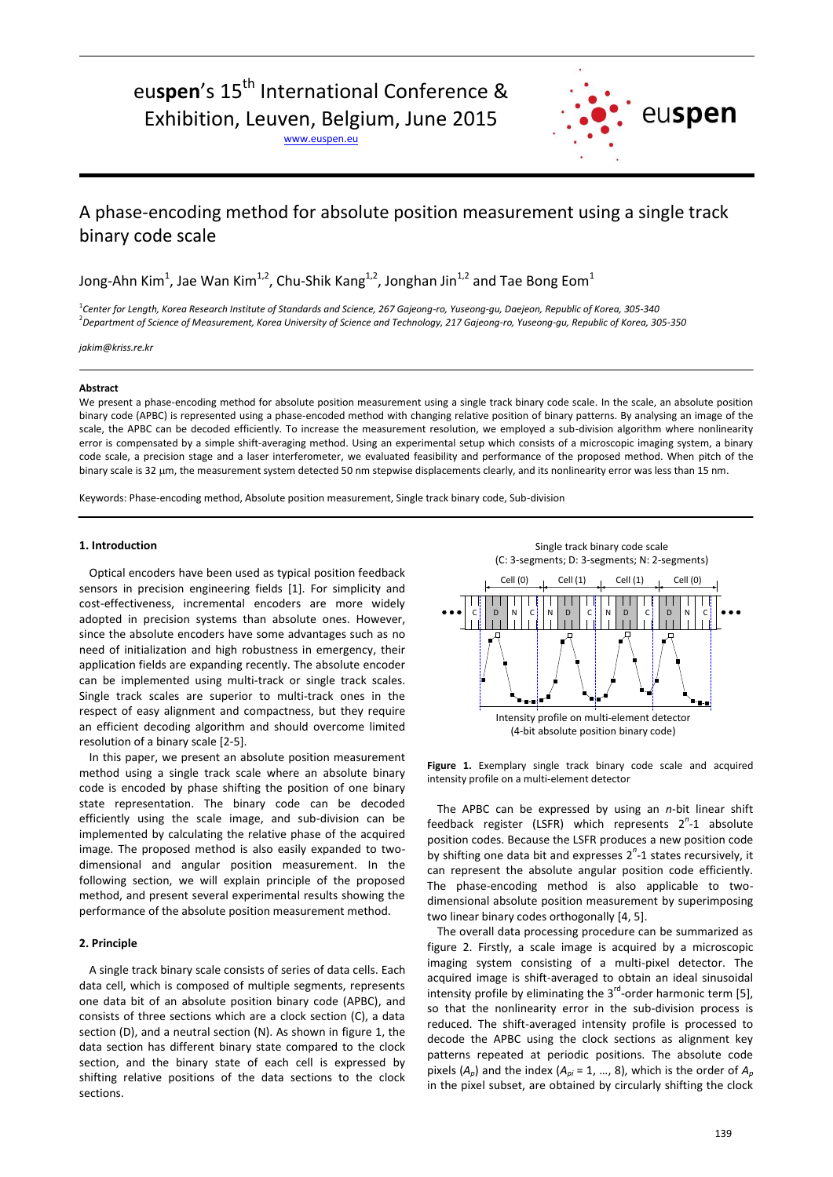# euspen's 15<sup>th</sup> International Conference & Exhibition, Leuven, Belgium, June 2015

www.euspen.eu



# A phase-encoding method for absolute position measurement using a single track binary code scale

Jong-Ahn Kim $^1$ , Jae Wan Kim $^{1,2}$ , Chu-Shik Kang $^{1,2}$ , Jonghan Jin $^{1,2}$  and Tae Bong Eom $^1$ 

1 *Center for Length, Korea Research Institute of Standards and Science, 267 Gajeong-ro, Yuseong-gu, Daejeon, Republic of Korea, 305-340* <sup>2</sup>*Department of Science of Measurement, Korea University of Science and Technology, 217 Gajeong-ro, Yuseong-gu, Republic of Korea, 305-350*

*jakim@kriss.re.kr*

# **Abstract**

We present a phase-encoding method for absolute position measurement using a single track binary code scale. In the scale, an absolute position binary code (APBC) is represented using a phase-encoded method with changing relative position of binary patterns. By analysing an image of the scale, the APBC can be decoded efficiently. To increase the measurement resolution, we employed a sub-division algorithm where nonlinearity error is compensated by a simple shift-averaging method. Using an experimental setup which consists of a microscopic imaging system, a binary code scale, a precision stage and a laser interferometer, we evaluated feasibility and performance of the proposed method. When pitch of the binary scale is 32 µm, the measurement system detected 50 nm stepwise displacements clearly, and its nonlinearity error was less than 15 nm.

Keywords: Phase-encoding method, Absolute position measurement, Single track binary code, Sub-division

# **1. Introduction**

Optical encoders have been used as typical position feedback sensors in precision engineering fields [1]. For simplicity and cost-effectiveness, incremental encoders are more widely adopted in precision systems than absolute ones. However, since the absolute encoders have some advantages such as no need of initialization and high robustness in emergency, their application fields are expanding recently. The absolute encoder can be implemented using multi-track or single track scales. Single track scales are superior to multi-track ones in the respect of easy alignment and compactness, but they require an efficient decoding algorithm and should overcome limited resolution of a binary scale [2-5].

In this paper, we present an absolute position measurement method using a single track scale where an absolute binary code is encoded by phase shifting the position of one binary state representation. The binary code can be decoded efficiently using the scale image, and sub-division can be implemented by calculating the relative phase of the acquired image. The proposed method is also easily expanded to twodimensional and angular position measurement. In the following section, we will explain principle of the proposed method, and present several experimental results showing the performance of the absolute position measurement method.

# **2. Principle**

A single track binary scale consists of series of data cells. Each data cell, which is composed of multiple segments, represents one data bit of an absolute position binary code (APBC), and consists of three sections which are a clock section (C), a data section (D), and a neutral section (N). As shown in figure 1, the data section has different binary state compared to the clock section, and the binary state of each cell is expressed by shifting relative positions of the data sections to the clock sections.

Single track binary code scale (C: 3-segments; D: 3-segments; N: 2-segments)



**Figure 1.** Exemplary single track binary code scale and acquired intensity profile on a multi-element detector

The APBC can be expressed by using an *n*-bit linear shift feedback register (LSFR) which represents 2<sup>n</sup>-1 absolute position codes. Because the LSFR produces a new position code by shifting one data bit and expresses 2<sup>n</sup>-1 states recursively, it can represent the absolute angular position code efficiently. The phase-encoding method is also applicable to twodimensional absolute position measurement by superimposing two linear binary codes orthogonally [4, 5].

The overall data processing procedure can be summarized as figure 2. Firstly, a scale image is acquired by a microscopic imaging system consisting of a multi-pixel detector. The acquired image is shift-averaged to obtain an ideal sinusoidal intensity profile by eliminating the  $3<sup>rd</sup>$ -order harmonic term [5], so that the nonlinearity error in the sub-division process is reduced. The shift-averaged intensity profile is processed to decode the APBC using the clock sections as alignment key patterns repeated at periodic positions. The absolute code pixels  $(A_p)$  and the index  $(A_{pi} = 1, ..., 8)$ , which is the order of  $A_p$ in the pixel subset, are obtained by circularly shifting the clock

**Bandaries**